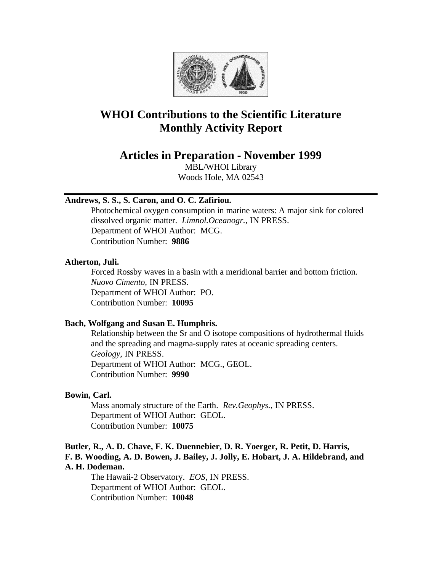

# **WHOI Contributions to the Scientific Literature Monthly Activity Report**

**Articles in Preparation - November 1999**

MBL/WHOI Library Woods Hole, MA 02543

# **Andrews, S. S., S. Caron, and O. C. Zafiriou.**

Photochemical oxygen consumption in marine waters: A major sink for colored dissolved organic matter. *Limnol.Oceanogr.*, IN PRESS. Department of WHOI Author: MCG. Contribution Number: **9886**

### **Atherton, Juli.**

Forced Rossby waves in a basin with a meridional barrier and bottom friction. *Nuovo Cimento*, IN PRESS. Department of WHOI Author: PO. Contribution Number: **10095**

# **Bach, Wolfgang and Susan E. Humphris.**

Relationship between the Sr and O isotope compositions of hydrothermal fluids and the spreading and magma-supply rates at oceanic spreading centers. *Geology*, IN PRESS. Department of WHOI Author: MCG., GEOL. Contribution Number: **9990**

### **Bowin, Carl.**

Mass anomaly structure of the Earth. *Rev.Geophys.*, IN PRESS. Department of WHOI Author: GEOL. Contribution Number: **10075**

# **Butler, R., A. D. Chave, F. K. Duennebier, D. R. Yoerger, R. Petit, D. Harris, F. B. Wooding, A. D. Bowen, J. Bailey, J. Jolly, E. Hobart, J. A. Hildebrand, and A. H. Dodeman.**

The Hawaii-2 Observatory. *EOS*, IN PRESS. Department of WHOI Author: GEOL. Contribution Number: **10048**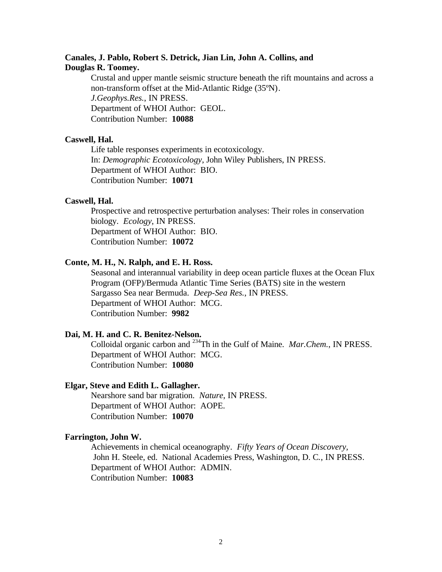# **Canales, J. Pablo, Robert S. Detrick, Jian Lin, John A. Collins, and Douglas R. Toomey.**

Crustal and upper mantle seismic structure beneath the rift mountains and across a non-transform offset at the Mid-Atlantic Ridge (35ºN). *J.Geophys.Res.*, IN PRESS. Department of WHOI Author: GEOL. Contribution Number: **10088**

### **Caswell, Hal.**

Life table responses experiments in ecotoxicology. In: *Demographic Ecotoxicology*, John Wiley Publishers, IN PRESS. Department of WHOI Author: BIO. Contribution Number: **10071**

### **Caswell, Hal.**

Prospective and retrospective perturbation analyses: Their roles in conservation biology. *Ecology*, IN PRESS. Department of WHOI Author: BIO. Contribution Number: **10072**

# **Conte, M. H., N. Ralph, and E. H. Ross.**

Seasonal and interannual variability in deep ocean particle fluxes at the Ocean Flux Program (OFP)/Bermuda Atlantic Time Series (BATS) site in the western Sargasso Sea near Bermuda. *Deep-Sea Res.*, IN PRESS. Department of WHOI Author: MCG. Contribution Number: **9982**

# **Dai, M. H. and C. R. Benitez-Nelson.**

Colloidal organic carbon and <sup>234</sup>Th in the Gulf of Maine. *Mar.Chem.*, IN PRESS. Department of WHOI Author: MCG. Contribution Number: **10080**

### **Elgar, Steve and Edith L. Gallagher.**

Nearshore sand bar migration. *Nature*, IN PRESS. Department of WHOI Author: AOPE. Contribution Number: **10070**

### **Farrington, John W.**

Achievements in chemical oceanography. *Fifty Years of Ocean Discovery,* John H. Steele, ed. National Academies Press, Washington, D. C*.*, IN PRESS. Department of WHOI Author: ADMIN. Contribution Number: **10083**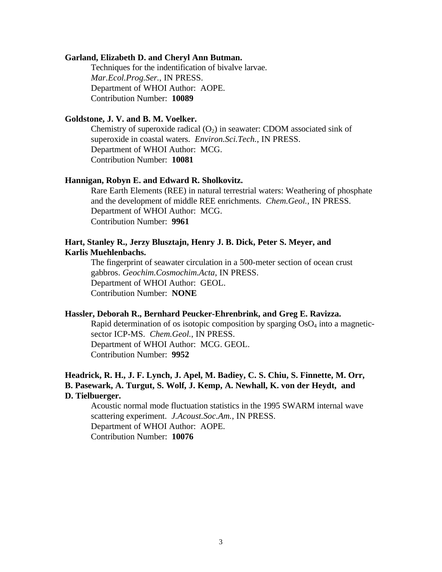#### **Garland, Elizabeth D. and Cheryl Ann Butman.**

Techniques for the indentification of bivalve larvae. *Mar.Ecol.Prog.Ser.*, IN PRESS. Department of WHOI Author: AOPE. Contribution Number: **10089**

# **Goldstone, J. V. and B. M. Voelker.**

Chemistry of superoxide radical  $(O_2)$  in seawater: CDOM associated sink of superoxide in coastal waters. *Environ.Sci.Tech.*, IN PRESS. Department of WHOI Author: MCG. Contribution Number: **10081**

### **Hannigan, Robyn E. and Edward R. Sholkovitz.**

Rare Earth Elements (REE) in natural terrestrial waters: Weathering of phosphate and the development of middle REE enrichments. *Chem.Geol.*, IN PRESS. Department of WHOI Author: MCG. Contribution Number: **9961**

# **Hart, Stanley R., Jerzy Blusztajn, Henry J. B. Dick, Peter S. Meyer, and Karlis Muehlenbachs.**

The fingerprint of seawater circulation in a 500-meter section of ocean crust gabbros. *Geochim.Cosmochim.Acta*, IN PRESS. Department of WHOI Author: GEOL. Contribution Number: **NONE**

# **Hassler, Deborah R., Bernhard Peucker-Ehrenbrink, and Greg E. Ravizza.**

Rapid determination of os isotopic composition by sparging  $OsO<sub>4</sub>$  into a magneticsector ICP-MS. *Chem.Geol.*, IN PRESS. Department of WHOI Author: MCG. GEOL. Contribution Number: **9952**

# **Headrick, R. H., J. F. Lynch, J. Apel, M. Badiey, C. S. Chiu, S. Finnette, M. Orr, B. Pasewark, A. Turgut, S. Wolf, J. Kemp, A. Newhall, K. von der Heydt, and D. Tielbuerger.**

Acoustic normal mode fluctuation statistics in the 1995 SWARM internal wave scattering experiment. *J.Acoust.Soc.Am.*, IN PRESS. Department of WHOI Author: AOPE. Contribution Number: **10076**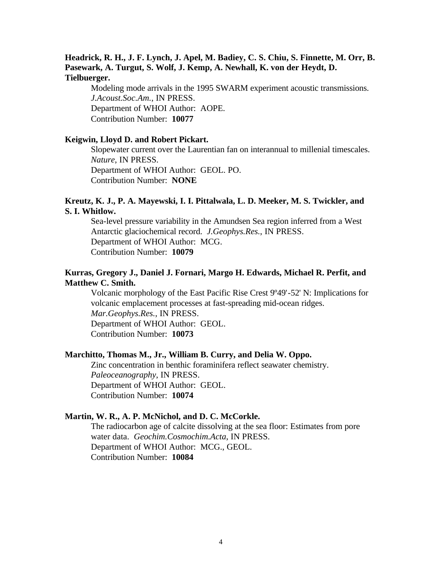# **Headrick, R. H., J. F. Lynch, J. Apel, M. Badiey, C. S. Chiu, S. Finnette, M. Orr, B. Pasewark, A. Turgut, S. Wolf, J. Kemp, A. Newhall, K. von der Heydt, D. Tielbuerger.**

Modeling mode arrivals in the 1995 SWARM experiment acoustic transmissions. *J.Acoust.Soc.Am.*, IN PRESS. Department of WHOI Author: AOPE. Contribution Number: **10077**

### **Keigwin, Lloyd D. and Robert Pickart.**

Slopewater current over the Laurentian fan on interannual to millenial timescales. *Nature*, IN PRESS. Department of WHOI Author: GEOL. PO. Contribution Number: **NONE**

# **Kreutz, K. J., P. A. Mayewski, I. I. Pittalwala, L. D. Meeker, M. S. Twickler, and S. I. Whitlow.**

Sea-level pressure variability in the Amundsen Sea region inferred from a West Antarctic glaciochemical record. *J.Geophys.Res.*, IN PRESS. Department of WHOI Author: MCG. Contribution Number: **10079**

# **Kurras, Gregory J., Daniel J. Fornari, Margo H. Edwards, Michael R. Perfit, and Matthew C. Smith.**

Volcanic morphology of the East Pacific Rise Crest 9º49'-52' N: Implications for volcanic emplacement processes at fast-spreading mid-ocean ridges. *Mar.Geophys.Res.*, IN PRESS. Department of WHOI Author: GEOL. Contribution Number: **10073**

### **Marchitto, Thomas M., Jr., William B. Curry, and Delia W. Oppo.**

Zinc concentration in benthic foraminifera reflect seawater chemistry. *Paleoceanography*, IN PRESS. Department of WHOI Author: GEOL. Contribution Number: **10074**

### **Martin, W. R., A. P. McNichol, and D. C. McCorkle.**

The radiocarbon age of calcite dissolving at the sea floor: Estimates from pore water data. *Geochim.Cosmochim.Acta*, IN PRESS. Department of WHOI Author: MCG., GEOL. Contribution Number: **10084**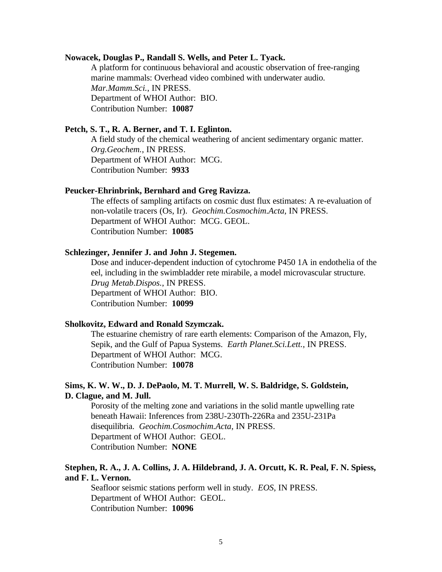#### **Nowacek, Douglas P., Randall S. Wells, and Peter L. Tyack.**

A platform for continuous behavioral and acoustic observation of free-ranging marine mammals: Overhead video combined with underwater audio. *Mar.Mamm.Sci.*, IN PRESS. Department of WHOI Author: BIO. Contribution Number: **10087**

### **Petch, S. T., R. A. Berner, and T. I. Eglinton.**

A field study of the chemical weathering of ancient sedimentary organic matter. *Org.Geochem.*, IN PRESS. Department of WHOI Author: MCG. Contribution Number: **9933**

### **Peucker-Ehrinbrink, Bernhard and Greg Ravizza.**

The effects of sampling artifacts on cosmic dust flux estimates: A re-evaluation of non-volatile tracers (Os, Ir). *Geochim.Cosmochim.Acta*, IN PRESS. Department of WHOI Author: MCG. GEOL. Contribution Number: **10085**

### **Schlezinger, Jennifer J. and John J. Stegemen.**

Dose and inducer-dependent induction of cytochrome P450 1A in endothelia of the eel, including in the swimbladder rete mirabile, a model microvascular structure. *Drug Metab.Dispos.*, IN PRESS. Department of WHOI Author: BIO. Contribution Number: **10099**

### **Sholkovitz, Edward and Ronald Szymczak.**

The estuarine chemistry of rare earth elements: Comparison of the Amazon, Fly, Sepik, and the Gulf of Papua Systems. *Earth Planet.Sci.Lett.*, IN PRESS. Department of WHOI Author: MCG. Contribution Number: **10078**

# **Sims, K. W. W., D. J. DePaolo, M. T. Murrell, W. S. Baldridge, S. Goldstein, D. Clague, and M. Jull.**

Porosity of the melting zone and variations in the solid mantle upwelling rate beneath Hawaii: Inferences from 238U-230Th-226Ra and 235U-231Pa disequilibria. *Geochim.Cosmochim.Acta*, IN PRESS. Department of WHOI Author: GEOL. Contribution Number: **NONE**

# **Stephen, R. A., J. A. Collins, J. A. Hildebrand, J. A. Orcutt, K. R. Peal, F. N. Spiess, and F. L. Vernon.**

Seafloor seismic stations perform well in study. *EOS*, IN PRESS. Department of WHOI Author: GEOL. Contribution Number: **10096**